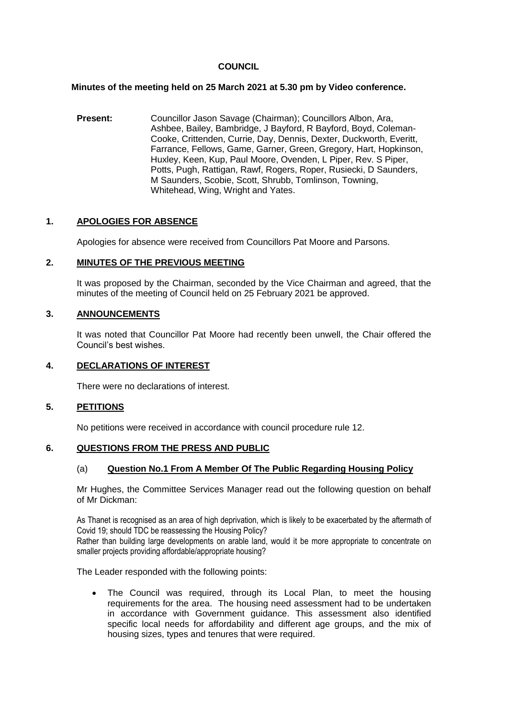### **COUNCIL**

### **Minutes of the meeting held on 25 March 2021 at 5.30 pm by Video conference.**

**Present:** Councillor Jason Savage (Chairman); Councillors Albon, Ara, Ashbee, Bailey, Bambridge, J Bayford, R Bayford, Boyd, Coleman-Cooke, Crittenden, Currie, Day, Dennis, Dexter, Duckworth, Everitt, Farrance, Fellows, Game, Garner, Green, Gregory, Hart, Hopkinson, Huxley, Keen, Kup, Paul Moore, Ovenden, L Piper, Rev. S Piper, Potts, Pugh, Rattigan, Rawf, Rogers, Roper, Rusiecki, D Saunders, M Saunders, Scobie, Scott, Shrubb, Tomlinson, Towning, Whitehead, Wing, Wright and Yates.

# **1. APOLOGIES FOR ABSENCE**

Apologies for absence were received from Councillors Pat Moore and Parsons.

# **2. MINUTES OF THE PREVIOUS MEETING**

It was proposed by the Chairman, seconded by the Vice Chairman and agreed, that the minutes of the meeting of Council held on 25 February 2021 be approved.

# **3. ANNOUNCEMENTS**

It was noted that Councillor Pat Moore had recently been unwell, the Chair offered the Council's best wishes.

### **4. DECLARATIONS OF INTEREST**

There were no declarations of interest.

### **5. PETITIONS**

No petitions were received in accordance with council procedure rule 12.

### **6. QUESTIONS FROM THE PRESS AND PUBLIC**

### (a) **Question No.1 From A Member Of The Public Regarding Housing Policy**

Mr Hughes, the Committee Services Manager read out the following question on behalf of Mr Dickman:

As Thanet is recognised as an area of high deprivation, which is likely to be exacerbated by the aftermath of Covid 19; should TDC be reassessing the Housing Policy?

Rather than building large developments on arable land, would it be more appropriate to concentrate on smaller projects providing affordable/appropriate housing?

The Leader responded with the following points:

 The Council was required, through its Local Plan, to meet the housing requirements for the area. The housing need assessment had to be undertaken in accordance with Government guidance. This assessment also identified specific local needs for affordability and different age groups, and the mix of housing sizes, types and tenures that were required.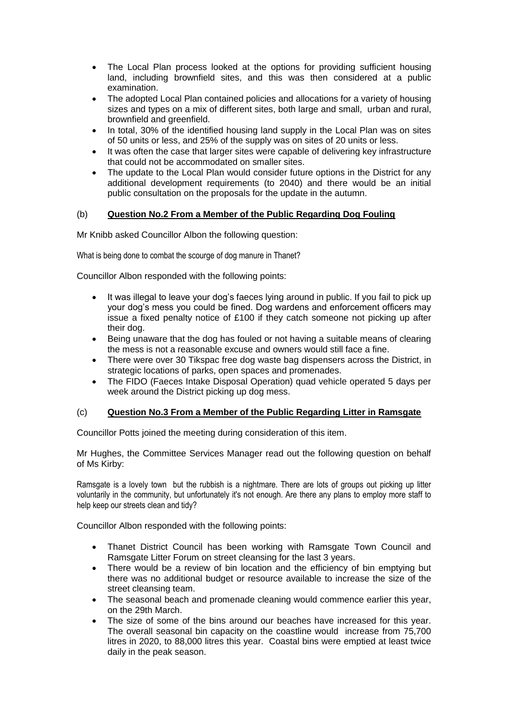- The Local Plan process looked at the options for providing sufficient housing land, including brownfield sites, and this was then considered at a public examination.
- The adopted Local Plan contained policies and allocations for a variety of housing sizes and types on a mix of different sites, both large and small, urban and rural, brownfield and greenfield.
- In total, 30% of the identified housing land supply in the Local Plan was on sites of 50 units or less, and 25% of the supply was on sites of 20 units or less.
- It was often the case that larger sites were capable of delivering key infrastructure that could not be accommodated on smaller sites.
- The update to the Local Plan would consider future options in the District for any additional development requirements (to 2040) and there would be an initial public consultation on the proposals for the update in the autumn.

# (b) **Question No.2 From a Member of the Public Regarding Dog Fouling**

Mr Knibb asked Councillor Albon the following question:

What is being done to combat the scourge of dog manure in Thanet?

Councillor Albon responded with the following points:

- It was illegal to leave your dog's faeces lying around in public. If you fail to pick up your dog's mess you could be fined. Dog wardens and enforcement officers may issue a fixed penalty notice of £100 if they catch someone not picking up after their dog.
- Being unaware that the dog has fouled or not having a suitable means of clearing the mess is not a reasonable excuse and owners would still face a fine.
- There were over 30 Tikspac free dog waste bag dispensers across the District, in strategic locations of parks, open spaces and promenades.
- The FIDO (Faeces Intake Disposal Operation) quad vehicle operated 5 days per week around the District picking up dog mess.

### (c) **Question No.3 From a Member of the Public Regarding Litter in Ramsgate**

Councillor Potts joined the meeting during consideration of this item.

Mr Hughes, the Committee Services Manager read out the following question on behalf of Ms Kirby:

Ramsgate is a lovely town but the rubbish is a nightmare. There are lots of groups out picking up litter voluntarily in the community, but unfortunately it's not enough. Are there any plans to employ more staff to help keep our streets clean and tidy?

Councillor Albon responded with the following points:

- Thanet District Council has been working with Ramsgate Town Council and Ramsgate Litter Forum on street cleansing for the last 3 years.
- There would be a review of bin location and the efficiency of bin emptying but there was no additional budget or resource available to increase the size of the street cleansing team.
- The seasonal beach and promenade cleaning would commence earlier this year, on the 29th March.
- The size of some of the bins around our beaches have increased for this year. The overall seasonal bin capacity on the coastline would increase from 75,700 litres in 2020, to 88,000 litres this year. Coastal bins were emptied at least twice daily in the peak season.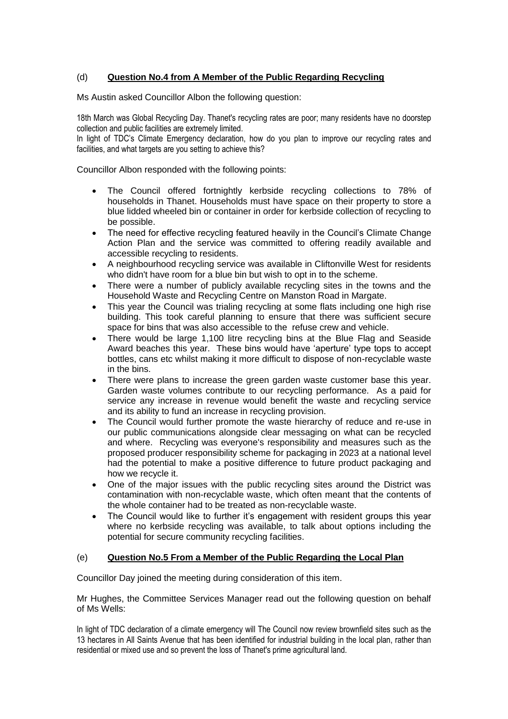# (d) **Question No.4 from A Member of the Public Regarding Recycling**

Ms Austin asked Councillor Albon the following question:

18th March was Global Recycling Day. Thanet's recycling rates are poor; many residents have no doorstep collection and public facilities are extremely limited.

In light of TDC's Climate Emergency declaration, how do you plan to improve our recycling rates and facilities, and what targets are you setting to achieve this?

Councillor Albon responded with the following points:

- The Council offered fortnightly kerbside recycling collections to 78% of households in Thanet. Households must have space on their property to store a blue lidded wheeled bin or container in order for kerbside collection of recycling to be possible.
- The need for effective recycling featured heavily in the Council's Climate Change Action Plan and the service was committed to offering readily available and accessible recycling to residents.
- A neighbourhood recycling service was available in Cliftonville West for residents who didn't have room for a blue bin but wish to opt in to the scheme.
- There were a number of publicly available recycling sites in the towns and the Household Waste and Recycling Centre on Manston Road in Margate.
- This year the Council was trialing recycling at some flats including one high rise building. This took careful planning to ensure that there was sufficient secure space for bins that was also accessible to the refuse crew and vehicle.
- There would be large 1,100 litre recycling bins at the Blue Flag and Seaside Award beaches this year. These bins would have 'aperture' type tops to accept bottles, cans etc whilst making it more difficult to dispose of non-recyclable waste in the bins.
- There were plans to increase the green garden waste customer base this year. Garden waste volumes contribute to our recycling performance. As a paid for service any increase in revenue would benefit the waste and recycling service and its ability to fund an increase in recycling provision.
- The Council would further promote the waste hierarchy of reduce and re-use in our public communications alongside clear messaging on what can be recycled and where. Recycling was everyone's responsibility and measures such as the proposed producer responsibility scheme for packaging in 2023 at a national level had the potential to make a positive difference to future product packaging and how we recycle it.
- One of the major issues with the public recycling sites around the District was contamination with non-recyclable waste, which often meant that the contents of the whole container had to be treated as non-recyclable waste.
- The Council would like to further it's engagement with resident groups this year where no kerbside recycling was available, to talk about options including the potential for secure community recycling facilities.

### (e) **Question No.5 From a Member of the Public Regarding the Local Plan**

Councillor Day joined the meeting during consideration of this item.

Mr Hughes, the Committee Services Manager read out the following question on behalf of Ms Wells:

In light of TDC declaration of a climate emergency will The Council now review brownfield sites such as the 13 hectares in All Saints Avenue that has been identified for industrial building in the local plan, rather than residential or mixed use and so prevent the loss of Thanet's prime agricultural land.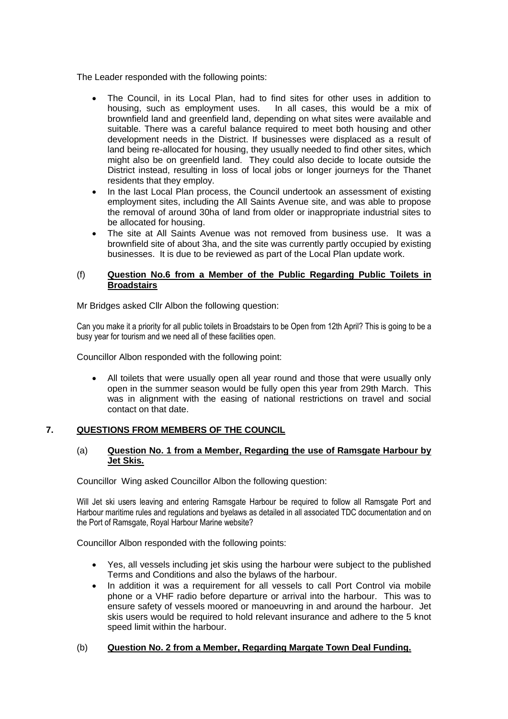The Leader responded with the following points:

- The Council, in its Local Plan, had to find sites for other uses in addition to housing, such as employment uses. In all cases, this would be a mix of brownfield land and greenfield land, depending on what sites were available and suitable. There was a careful balance required to meet both housing and other development needs in the District. If businesses were displaced as a result of land being re-allocated for housing, they usually needed to find other sites, which might also be on greenfield land. They could also decide to locate outside the District instead, resulting in loss of local jobs or longer journeys for the Thanet residents that they employ.
- In the last Local Plan process, the Council undertook an assessment of existing employment sites, including the All Saints Avenue site, and was able to propose the removal of around 30ha of land from older or inappropriate industrial sites to be allocated for housing.
- The site at All Saints Avenue was not removed from business use. It was a brownfield site of about 3ha, and the site was currently partly occupied by existing businesses. It is due to be reviewed as part of the Local Plan update work.

### (f) **Question No.6 from a Member of the Public Regarding Public Toilets in Broadstairs**

Mr Bridges asked Cllr Albon the following question:

Can you make it a priority for all public toilets in Broadstairs to be Open from 12th April? This is going to be a busy year for tourism and we need all of these facilities open.

Councillor Albon responded with the following point:

 All toilets that were usually open all year round and those that were usually only open in the summer season would be fully open this year from 29th March. This was in alignment with the easing of national restrictions on travel and social contact on that date.

# **7. QUESTIONS FROM MEMBERS OF THE COUNCIL**

#### (a) **Question No. 1 from a Member, Regarding the use of Ramsgate Harbour by Jet Skis.**

Councillor Wing asked Councillor Albon the following question:

Will Jet ski users leaving and entering Ramsgate Harbour be required to follow all Ramsgate Port and Harbour maritime rules and regulations and byelaws as detailed in all associated TDC documentation and on the Port of Ramsgate, Royal Harbour Marine website?

Councillor Albon responded with the following points:

- Yes, all vessels including jet skis using the harbour were subject to the published Terms and Conditions and also the bylaws of the harbour.
- In addition it was a requirement for all vessels to call Port Control via mobile phone or a VHF radio before departure or arrival into the harbour. This was to ensure safety of vessels moored or manoeuvring in and around the harbour. Jet skis users would be required to hold relevant insurance and adhere to the 5 knot speed limit within the harbour.

### (b) **Question No. 2 from a Member, Regarding Margate Town Deal Funding.**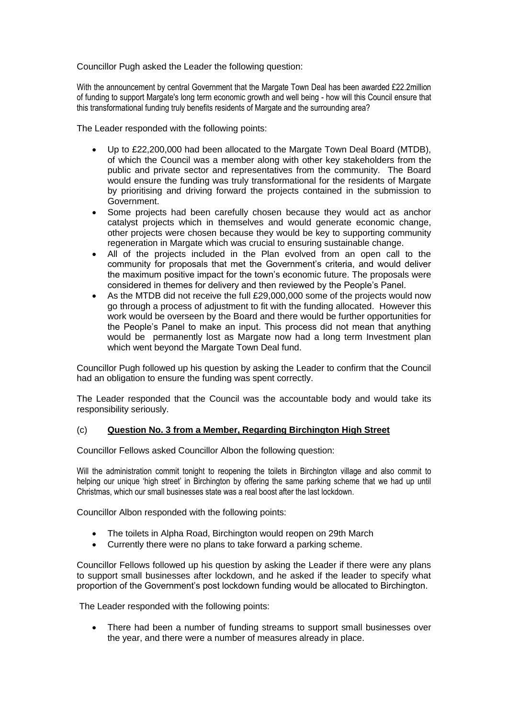Councillor Pugh asked the Leader the following question:

With the announcement by central Government that the Margate Town Deal has been awarded £22.2million of funding to support Margate's long term economic growth and well being - how will this Council ensure that this transformational funding truly benefits residents of Margate and the surrounding area?

The Leader responded with the following points:

- Up to £22,200,000 had been allocated to the Margate Town Deal Board (MTDB), of which the Council was a member along with other key stakeholders from the public and private sector and representatives from the community. The Board would ensure the funding was truly transformational for the residents of Margate by prioritising and driving forward the projects contained in the submission to Government.
- Some projects had been carefully chosen because they would act as anchor catalyst projects which in themselves and would generate economic change, other projects were chosen because they would be key to supporting community regeneration in Margate which was crucial to ensuring sustainable change.
- All of the projects included in the Plan evolved from an open call to the community for proposals that met the Government's criteria, and would deliver the maximum positive impact for the town's economic future. The proposals were considered in themes for delivery and then reviewed by the People's Panel.
- As the MTDB did not receive the full £29,000,000 some of the projects would now go through a process of adjustment to fit with the funding allocated. However this work would be overseen by the Board and there would be further opportunities for the People's Panel to make an input. This process did not mean that anything would be permanently lost as Margate now had a long term Investment plan which went beyond the Margate Town Deal fund.

Councillor Pugh followed up his question by asking the Leader to confirm that the Council had an obligation to ensure the funding was spent correctly.

The Leader responded that the Council was the accountable body and would take its responsibility seriously.

### (c) **Question No. 3 from a Member, Regarding Birchington High Street**

Councillor Fellows asked Councillor Albon the following question:

Will the administration commit tonight to reopening the toilets in Birchington village and also commit to helping our unique 'high street' in Birchington by offering the same parking scheme that we had up until Christmas, which our small businesses state was a real boost after the last lockdown.

Councillor Albon responded with the following points:

- The toilets in Alpha Road, Birchington would reopen on 29th March
- Currently there were no plans to take forward a parking scheme.

Councillor Fellows followed up his question by asking the Leader if there were any plans to support small businesses after lockdown, and he asked if the leader to specify what proportion of the Government's post lockdown funding would be allocated to Birchington.

The Leader responded with the following points:

 There had been a number of funding streams to support small businesses over the year, and there were a number of measures already in place.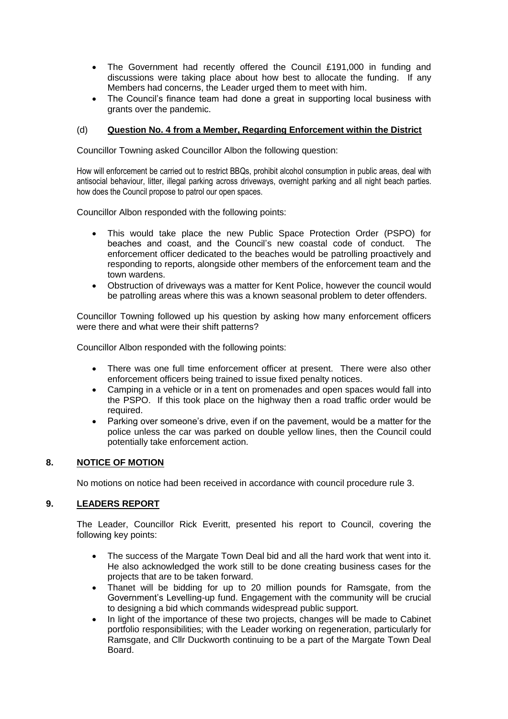- The Government had recently offered the Council £191,000 in funding and discussions were taking place about how best to allocate the funding. If any Members had concerns, the Leader urged them to meet with him.
- The Council's finance team had done a great in supporting local business with grants over the pandemic.

# (d) **Question No. 4 from a Member, Regarding Enforcement within the District**

Councillor Towning asked Councillor Albon the following question:

How will enforcement be carried out to restrict BBQs, prohibit alcohol consumption in public areas, deal with antisocial behaviour, litter, illegal parking across driveways, overnight parking and all night beach parties. how does the Council propose to patrol our open spaces.

Councillor Albon responded with the following points:

- This would take place the new Public Space Protection Order (PSPO) for beaches and coast, and the Council's new coastal code of conduct. The enforcement officer dedicated to the beaches would be patrolling proactively and responding to reports, alongside other members of the enforcement team and the town wardens.
- Obstruction of driveways was a matter for Kent Police, however the council would be patrolling areas where this was a known seasonal problem to deter offenders.

Councillor Towning followed up his question by asking how many enforcement officers were there and what were their shift patterns?

Councillor Albon responded with the following points:

- There was one full time enforcement officer at present. There were also other enforcement officers being trained to issue fixed penalty notices.
- Camping in a vehicle or in a tent on promenades and open spaces would fall into the PSPO. If this took place on the highway then a road traffic order would be required.
- Parking over someone's drive, even if on the pavement, would be a matter for the police unless the car was parked on double yellow lines, then the Council could potentially take enforcement action.

# **8. NOTICE OF MOTION**

No motions on notice had been received in accordance with council procedure rule 3.

# **9. LEADERS REPORT**

The Leader, Councillor Rick Everitt, presented his report to Council, covering the following key points:

- The success of the Margate Town Deal bid and all the hard work that went into it. He also acknowledged the work still to be done creating business cases for the projects that are to be taken forward.
- Thanet will be bidding for up to 20 million pounds for Ramsgate, from the Government's Levelling-up fund. Engagement with the community will be crucial to designing a bid which commands widespread public support.
- In light of the importance of these two projects, changes will be made to Cabinet portfolio responsibilities; with the Leader working on regeneration, particularly for Ramsgate, and Cllr Duckworth continuing to be a part of the Margate Town Deal Board.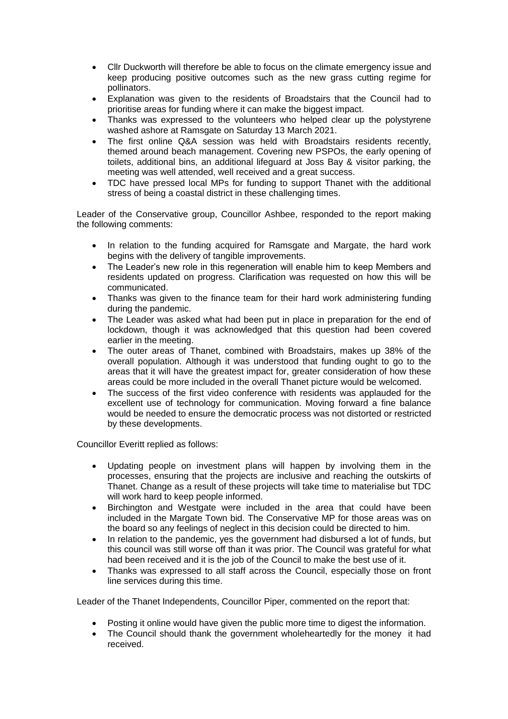- Cllr Duckworth will therefore be able to focus on the climate emergency issue and keep producing positive outcomes such as the new grass cutting regime for pollinators.
- Explanation was given to the residents of Broadstairs that the Council had to prioritise areas for funding where it can make the biggest impact.
- Thanks was expressed to the volunteers who helped clear up the polystyrene washed ashore at Ramsgate on Saturday 13 March 2021.
- The first online Q&A session was held with Broadstairs residents recently, themed around beach management. Covering new PSPOs, the early opening of toilets, additional bins, an additional lifeguard at Joss Bay & visitor parking, the meeting was well attended, well received and a great success.
- TDC have pressed local MPs for funding to support Thanet with the additional stress of being a coastal district in these challenging times.

Leader of the Conservative group, Councillor Ashbee, responded to the report making the following comments:

- In relation to the funding acquired for Ramsgate and Margate, the hard work begins with the delivery of tangible improvements.
- The Leader's new role in this regeneration will enable him to keep Members and residents updated on progress. Clarification was requested on how this will be communicated.
- Thanks was given to the finance team for their hard work administering funding during the pandemic.
- The Leader was asked what had been put in place in preparation for the end of lockdown, though it was acknowledged that this question had been covered earlier in the meeting.
- The outer areas of Thanet, combined with Broadstairs, makes up 38% of the overall population. Although it was understood that funding ought to go to the areas that it will have the greatest impact for, greater consideration of how these areas could be more included in the overall Thanet picture would be welcomed.
- The success of the first video conference with residents was applauded for the excellent use of technology for communication. Moving forward a fine balance would be needed to ensure the democratic process was not distorted or restricted by these developments.

Councillor Everitt replied as follows:

- Updating people on investment plans will happen by involving them in the processes, ensuring that the projects are inclusive and reaching the outskirts of Thanet. Change as a result of these projects will take time to materialise but TDC will work hard to keep people informed.
- Birchington and Westgate were included in the area that could have been included in the Margate Town bid. The Conservative MP for those areas was on the board so any feelings of neglect in this decision could be directed to him.
- In relation to the pandemic, yes the government had disbursed a lot of funds, but this council was still worse off than it was prior. The Council was grateful for what had been received and it is the job of the Council to make the best use of it.
- Thanks was expressed to all staff across the Council, especially those on front line services during this time.

Leader of the Thanet Independents, Councillor Piper, commented on the report that:

- Posting it online would have given the public more time to digest the information.
- The Council should thank the government wholeheartedly for the money it had received.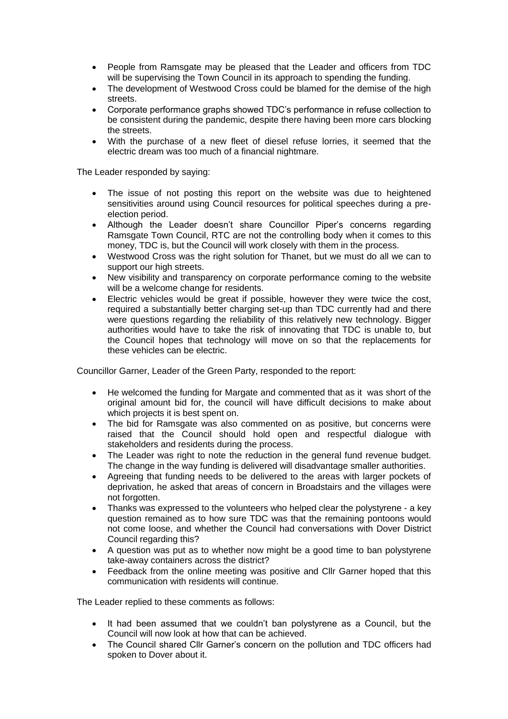- People from Ramsgate may be pleased that the Leader and officers from TDC will be supervising the Town Council in its approach to spending the funding.
- The development of Westwood Cross could be blamed for the demise of the high streets.
- Corporate performance graphs showed TDC's performance in refuse collection to be consistent during the pandemic, despite there having been more cars blocking the streets.
- With the purchase of a new fleet of diesel refuse lorries, it seemed that the electric dream was too much of a financial nightmare.

The Leader responded by saying:

- The issue of not posting this report on the website was due to heightened sensitivities around using Council resources for political speeches during a preelection period.
- Although the Leader doesn't share Councillor Piper's concerns regarding Ramsgate Town Council, RTC are not the controlling body when it comes to this money, TDC is, but the Council will work closely with them in the process.
- Westwood Cross was the right solution for Thanet, but we must do all we can to support our high streets.
- New visibility and transparency on corporate performance coming to the website will be a welcome change for residents.
- Electric vehicles would be great if possible, however they were twice the cost, required a substantially better charging set-up than TDC currently had and there were questions regarding the reliability of this relatively new technology. Bigger authorities would have to take the risk of innovating that TDC is unable to, but the Council hopes that technology will move on so that the replacements for these vehicles can be electric.

Councillor Garner, Leader of the Green Party, responded to the report:

- He welcomed the funding for Margate and commented that as it was short of the original amount bid for, the council will have difficult decisions to make about which projects it is best spent on.
- The bid for Ramsgate was also commented on as positive, but concerns were raised that the Council should hold open and respectful dialogue with stakeholders and residents during the process.
- The Leader was right to note the reduction in the general fund revenue budget. The change in the way funding is delivered will disadvantage smaller authorities.
- Agreeing that funding needs to be delivered to the areas with larger pockets of deprivation, he asked that areas of concern in Broadstairs and the villages were not forgotten.
- Thanks was expressed to the volunteers who helped clear the polystyrene a key question remained as to how sure TDC was that the remaining pontoons would not come loose, and whether the Council had conversations with Dover District Council regarding this?
- A question was put as to whether now might be a good time to ban polystyrene take-away containers across the district?
- Feedback from the online meeting was positive and Cllr Garner hoped that this communication with residents will continue.

The Leader replied to these comments as follows:

- It had been assumed that we couldn't ban polystyrene as a Council, but the Council will now look at how that can be achieved.
- The Council shared Cllr Garner's concern on the pollution and TDC officers had spoken to Dover about it.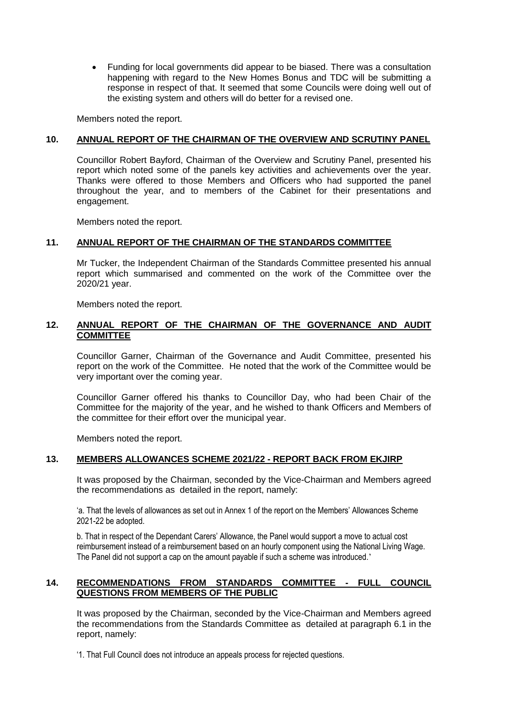Funding for local governments did appear to be biased. There was a consultation happening with regard to the New Homes Bonus and TDC will be submitting a response in respect of that. It seemed that some Councils were doing well out of the existing system and others will do better for a revised one.

Members noted the report.

### **10. ANNUAL REPORT OF THE CHAIRMAN OF THE OVERVIEW AND SCRUTINY PANEL**

Councillor Robert Bayford, Chairman of the Overview and Scrutiny Panel, presented his report which noted some of the panels key activities and achievements over the year. Thanks were offered to those Members and Officers who had supported the panel throughout the year, and to members of the Cabinet for their presentations and engagement.

Members noted the report.

### **11. ANNUAL REPORT OF THE CHAIRMAN OF THE STANDARDS COMMITTEE**

Mr Tucker, the Independent Chairman of the Standards Committee presented his annual report which summarised and commented on the work of the Committee over the 2020/21 year.

Members noted the report.

# **12. ANNUAL REPORT OF THE CHAIRMAN OF THE GOVERNANCE AND AUDIT COMMITTEE**

Councillor Garner, Chairman of the Governance and Audit Committee, presented his report on the work of the Committee. He noted that the work of the Committee would be very important over the coming year.

Councillor Garner offered his thanks to Councillor Day, who had been Chair of the Committee for the majority of the year, and he wished to thank Officers and Members of the committee for their effort over the municipal year.

Members noted the report.

### **13. MEMBERS ALLOWANCES SCHEME 2021/22 - REPORT BACK FROM EKJIRP**

It was proposed by the Chairman, seconded by the Vice-Chairman and Members agreed the recommendations as detailed in the report, namely:

'a. That the levels of allowances as set out in Annex 1 of the report on the Members' Allowances Scheme 2021-22 be adopted.

b. That in respect of the Dependant Carers' Allowance, the Panel would support a move to actual cost reimbursement instead of a reimbursement based on an hourly component using the National Living Wage. The Panel did not support a cap on the amount payable if such a scheme was introduced.'

# **14. RECOMMENDATIONS FROM STANDARDS COMMITTEE - FULL COUNCIL QUESTIONS FROM MEMBERS OF THE PUBLIC**

It was proposed by the Chairman, seconded by the Vice-Chairman and Members agreed the recommendations from the Standards Committee as detailed at paragraph 6.1 in the report, namely:

'1. That Full Council does not introduce an appeals process for rejected questions.